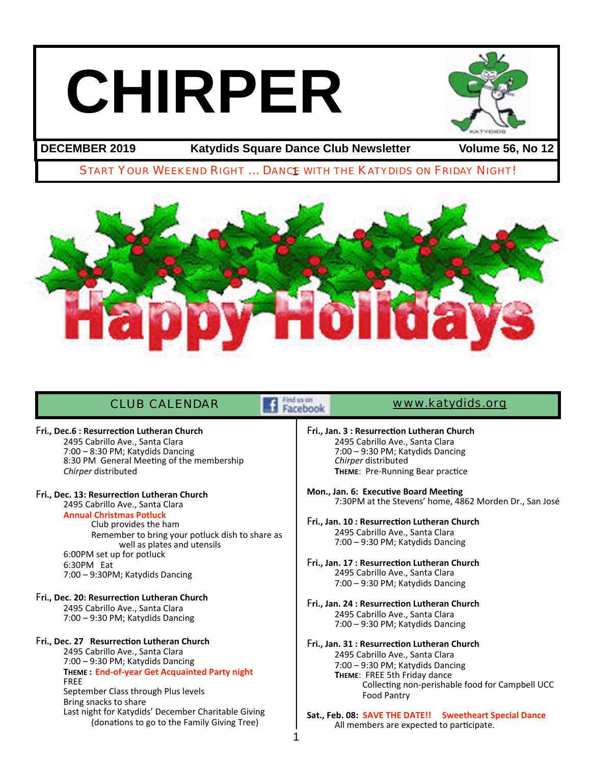# **CHIRPER**



**DECEMBER 2019 Katydids Square Dance Club Newsletter Volume 56, No 12**

# START YOUR WEEKEND RIGHT ... DANCE WITH THE KATYDIDS ON FRIDAY NIGHT!



# CLUB CALENDAR **WARDER WWW.katydids.org**

Remember to bring your potluck dish to share as

well as plates and utensils

**THEME : End-of-year Get Acquainted Party night**

Last night for Katydids' December Charitable Giving (donations to go to the Family Giving Tree)

8:30 PM General Meeting of the membership

Fri., Dec.6 : Resurrection Lutheran Church 2495 Cabrillo Ave., Santa Clara 7:00 - 8:30 PM; Katydids Dancing

Fri., Dec. 13: Resurrection Lutheran Church 2495 Cabrillo Ave., Santa Clara **Annual Christmas Potluck**

6:00PM set up for potluck

6:30PM Eat

 FREE

Club provides the ham

7:00 - 9:30PM; Katydids Dancing

Fri., Dec. 20: Resurrection Lutheran Church 2495 Cabrillo Ave., Santa Clara 7:00 - 9:30 PM; Katydids Dancing

Fri., Dec. 27 Resurrection Lutheran Church 2495 Cabrillo Ave., Santa Clara 7:00 - 9:30 PM; Katydids Dancing

Bring snacks to share

September Class through Plus levels

*Chirper* distributed

1

- Fri., Jan. 3 : Resurrection Lutheran Church 2495 Cabrillo Ave., Santa Clara 7:00 - 9:30 PM; Katydids Dancing *Chirper* distributed **THEME:** Pre-Running Bear practice
	- **Mon., Jan. 6: Executive Board Meeting** 7:30PM at the Stevens' home, 4862 Morden Dr., San José
	- Fri., Jan. 10 : Resurrection Lutheran Church 2495 Cabrillo Ave., Santa Clara 7:00 - 9:30 PM; Katydids Dancing
	- Fri., Jan. 17 : Resurrection Lutheran Church 2495 Cabrillo Ave., Santa Clara 7:00 - 9:30 PM; Katydids Dancing
	- Fri., Jan. 24 : Resurrection Lutheran Church 2495 Cabrillo Ave., Santa Clara 7:00 - 9:30 PM; Katydids Dancing
	- Fri., Jan. 31 : Resurrection Lutheran Church 2495 Cabrillo Ave., Santa Clara 7:00 - 9:30 PM; Katydids Dancing **THEME:** FREE 5th Friday dance Collecting non-perishable food for Campbell UCC Food Pantry
	- Sat., Feb. 08: SAVE THE DATE!! Sweetheart Special Dance All members are expected to participate.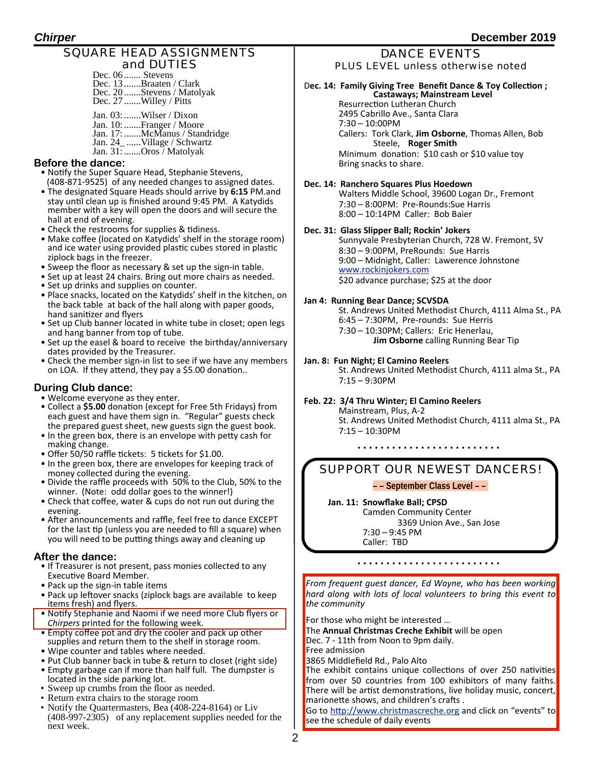# SQUARE HEAD ASSIGNMENTS and DUTIES

| Dec. 06  Stevens           |
|----------------------------|
| Dec. 13 Braaten / Clark    |
| Dec. 20 Stevens / Matolyak |
| Dec. 27 Willey / Pitts     |

Jan. 03:.......Wilser / Dixon Jan. 10:.......Franger / Moore Jan. 17:.......McManus / Standridge Jan. 24\_ ......Village / Schwartz Jan. 31:.......Oros / Matolyak

#### **Before the dance:**

- Notify the Super Square Head, Stephanie Stevens, (408-871-9525) of any needed changes to assigned dates.
- The designated Square Heads should arrive by 6:15 PM.and stay until clean up is finished around 9:45 PM. A Katydids member with a key will open the doors and will secure the hall at end of evening.
- Check the restrooms for supplies & tidiness.
- Make coffee (located on Katydids' shelf in the storage room) and ice water using provided plastic cubes stored in plastic ziplock bags in the freezer.
- Sweep the floor as necessary & set up the sign-in table.
- Set up at least 24 chairs. Bring out more chairs as needed.
- Set up drinks and supplies on counter.
- Place snacks, located on the Katydids' shelf in the kitchen, on the back table at back of the hall along with paper goods, hand sanitizer and flyers
- Set up Club banner located in white tube in closet; open legs and hang banner from top of tube.
- Set up the easel & board to receive the birthday/anniversary dates provided by the Treasurer.
- Check the member sign-in list to see if we have any members on LOA. If they attend, they pay a \$5.00 donation..

# **During Club dance:**

- Welcome everyone as they enter.
- Collect a \$5.00 donation (except for Free 5th Fridays) from each guest and have them sign in. "Regular" guests check the prepared guest sheet, new guests sign the guest book.
- In the green box, there is an envelope with petty cash for making change.
- Offer 50/50 raffle tickets: 5 tickets for \$1.00.
- In the green box, there are envelopes for keeping track of money collected during the evening.
- Divide the raffle proceeds with 50% to the Club, 50% to the winner. (Note: odd dollar goes to the winner!)
- Check that coffee, water & cups do not run out during the evening.
- After announcements and raffle, feel free to dance EXCEPT for the last tip (unless you are needed to fill a square) when you will need to be putting things away and cleaning up

#### **After the dance:**

- If Treasurer is not present, pass monies collected to any Executive Board Member.
- Pack up the sign-in table items
- Pack up leftover snacks (ziplock bags are available to keep items fresh) and flyers.
- Notify Stephanie and Naomi if we need more Club flyers or *Chirpers* printed for the following week.
- Empty coffee pot and dry the cooler and pack up other supplies and return them to the shelf in storage room.
- Wipe counter and tables where needed.
- Put Club banner back in tube & return to closet (right side)
- Empty garbage can if more than half full. The dumpster is located in the side parking lot.
- Sweep up crumbs from the floor as needed.
- Return extra chairs to the storage room
- Notify the Quartermasters, Bea (408-224-8164) or Liv (408-997-2305) of any replacement supplies needed for the next week.

# DANCE EVENTS PLUS LEVEL unless otherwise noted

### Dec. 14: Family Giving Tree Benefit Dance & Toy Collection ;  **Castaways; Mainstream Level**

Resurrection Lutheran Church 2495 Cabrillo Ave., Santa Clara  $7:30 - 10:00$ PM Callers: Tork Clark, **Jim Osborne**, Thomas Allen, Bob Steele, **Roger Smith** Minimum donation: \$10 cash or \$10 value toy Bring snacks to share.

# Dec. 14: Ranchero Squares Plus Hoedown

Walters Middle School, 39600 Logan Dr., Fremont 7:30 - 8:00PM: Pre-Rounds: Sue Harris  $8:00 - 10:14$ PM Caller: Bob Baier

# **Dec. 31: Glass Slipper Ball; Rockin' Jokers**

Sunnyvale Presbyterian Church, 728 W. Fremont, SV 8:30 - 9:00PM, PreRounds: Sue Harris 9:00 - Midnight, Caller: Lawerence Johnstone [www.rockinjokers.com](http://www.rockinjokers.com) \$20 advance purchase; \$25 at the door

# **Jan 4: Running Bear Dance; SCVSDA**

St. Andrews United Methodist Church, 4111 Alma St., PA 6:45 - 7:30PM, Pre-rounds: Sue Herris 7:30 - 10:30PM; Callers: Eric Henerlau, **Jim Osborne** calling Running Bear Tip

#### **Jan. 8: Fun Night; El Camino Reelers**

St. Andrews United Methodist Church, 4111 alma St., PA  $7:15 - 9:30$ PM

#### Feb. 22: 3/4 Thru Winter; El Camino Reelers

Mainstream, Plus, A-2 St. Andrews United Methodist Church, 4111 alma St., PA  $7:15 - 10:30$ PM

# SUPPORT OUR NEWEST DANCERS!

#### **– – September Class Level – –**

Jan. 11: Snowflake Ball; CPSD Camden Community Center 3369 Union Ave., San Jose  $7:30 - 9:45$  PM Caller: TBD

**From frequent guest dancer, Ed Wayne, who has been working** *hard along with lots of local volunteers to bring this event to* the community

For those who might be interested ...

The **Annual Christmas Creche Exhibit** will be open Dec. 7 - 11th from Noon to 9pm daily.

Free admission

3865 Middlefield Rd., Palo Alto The exhibit contains unique collections of over 250 nativities from over 50 countries from 100 exhibitors of many faiths. There will be artist demonstrations, live holiday music, concert, marionette shows, and children's crafts.

Go to http://www.christmascreche.org and click on "events" to see the schedule of daily events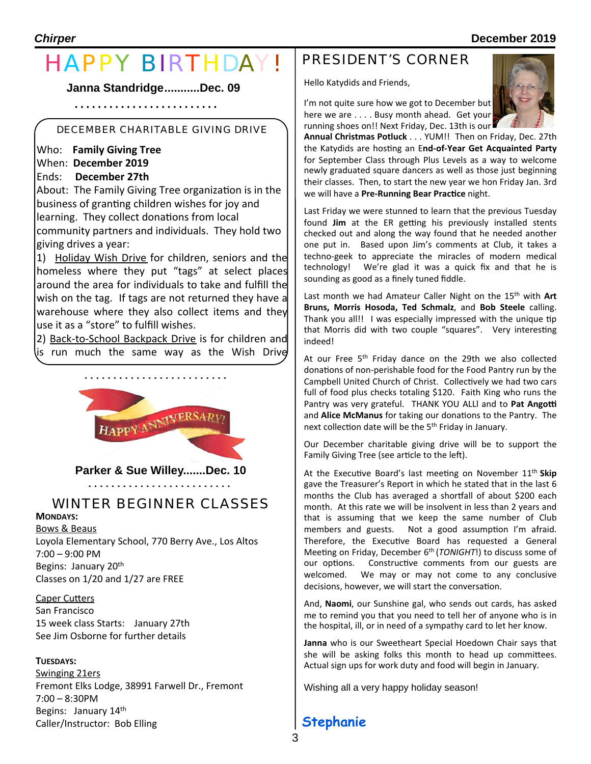# HAPPY BIRTHDAY!

**Janna Standridge...........Dec. 09**

# DECEMBER CHARITABLE GIVING DRIVE

 Who: **Family Giving Tree** When: **December 2019** 

Ends: **December 27th** 

About: The Family Giving Tree organization is in the business of granting children wishes for joy and learning. They collect donations from local

community partners and individuals. They hold two giving drives a year:

1) Holiday Wish Drive for children, seniors and the homeless where they put "tags" at select places around the area for individuals to take and fulfill the wish on the tag. If tags are not returned they have a warehouse where they also collect items and they use it as a "store" to fulfill wishes.

2) Back-to-School Backpack Drive is for children and is run much the same way as the Wish Drive



**Parker & Sue Willey.......Dec. 10**

# WINTER BEGINNER CLASSES

# **MONDAYS:**

**Bows & Beaus** Loyola Elementary School, 770 Berry Ave., Los Altos  $7:00 - 9:00$  PM Begins: January 20<sup>th</sup> Classes on  $1/20$  and  $1/27$  are FREE

# Caper Cutters

San Francisco 15 week class Starts: January 27th See Jim Osborne for further details

# **TUESDAYS:**

Swinging 21ers Fremont Elks Lodge, 38991 Farwell Dr., Fremont  $7:00 - 8:30$ PM Begins: January 14th Caller/Instructor: Bob Elling

# PRESIDENT'S CORNER

Hello Katydids and Friends,



**Annual Christmas Potluck** . . . YUM!! Then on Friday, Dec. 27th the Katydids are hosting an End-of-Year Get Acquainted Party for September Class through Plus Levels as a way to welcome newly graduated square dancers as well as those just beginning their classes. Then, to start the new year we hon Friday Jan. 3rd we will have a Pre-Running Bear Practice night.

Last Friday we were stunned to learn that the previous Tuesday found Jim at the ER getting his previously installed stents checked out and along the way found that he needed another one put in. Based upon Jim's comments at Club, it takes a techno-geek to appreciate the miracles of modern medical technology! We're glad it was a quick fix and that he is sounding as good as a finely tuned fiddle.

Last month we had Amateur Caller Night on the 15<sup>th</sup> with Art Bruns, Morris Hosoda, Ted Schmalz, and Bob Steele calling. Thank you all!! I was especially impressed with the unique tip that Morris did with two couple "squares". Very interesting indeed! 

At our Free  $5<sup>th</sup>$  Friday dance on the 29th we also collected donations of non-perishable food for the Food Pantry run by the Campbell United Church of Christ. Collectively we had two cars full of food plus checks totaling \$120. Faith King who runs the Pantry was very grateful. THANK YOU ALLI and to Pat Angotti and **Alice McManus** for taking our donations to the Pantry. The next collection date will be the 5<sup>th</sup> Friday in January.

Our December charitable giving drive will be to support the Family Giving Tree (see article to the left).

At the Executive Board's last meeting on November 11<sup>th</sup> Skip gave the Treasurer's Report in which he stated that in the last 6 months the Club has averaged a shortfall of about \$200 each month. At this rate we will be insolvent in less than 2 years and that is assuming that we keep the same number of Club members and guests. Not a good assumption I'm afraid. Therefore, the Executive Board has requested a General Meeting on Friday, December 6<sup>th</sup> (*TONIGHT*!) to discuss some of our options. Constructive comments from our guests are welcomed. We may or may not come to any conclusive decisions, however, we will start the conversation.

And, Naomi, our Sunshine gal, who sends out cards, has asked me to remind you that you need to tell her of anyone who is in the hospital, ill, or in need of a sympathy card to let her know.

**Janna** who is our Sweetheart Special Hoedown Chair says that she will be asking folks this month to head up committees. Actual sign ups for work duty and food will begin in January.

Wishing all a very happy holiday season!

# **Stephanie**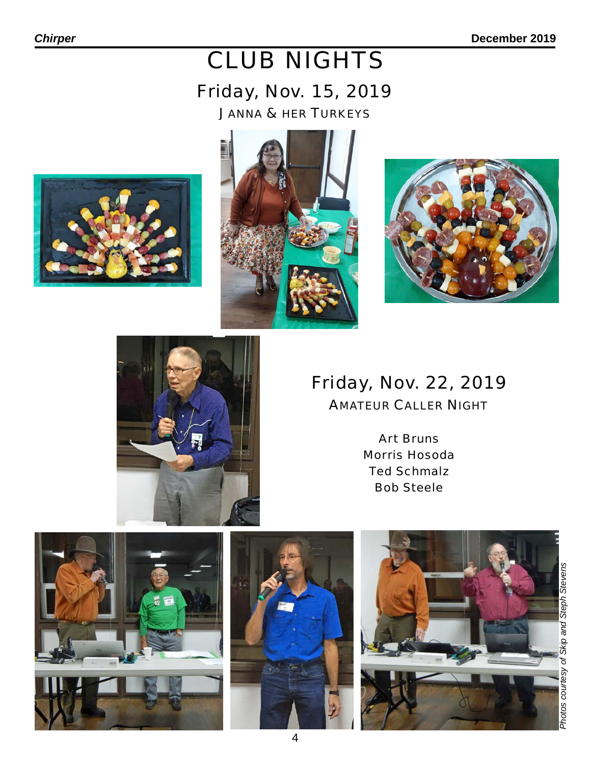# CLUB NIGHTS

# Friday, Nov. 15, 2019

JANNA & HER TURKEYS









# Friday, Nov. 22, 2019

AMATEUR CALLER NIGHT

Art Bruns Morris Hosoda Ted Schmalz Bob Steele

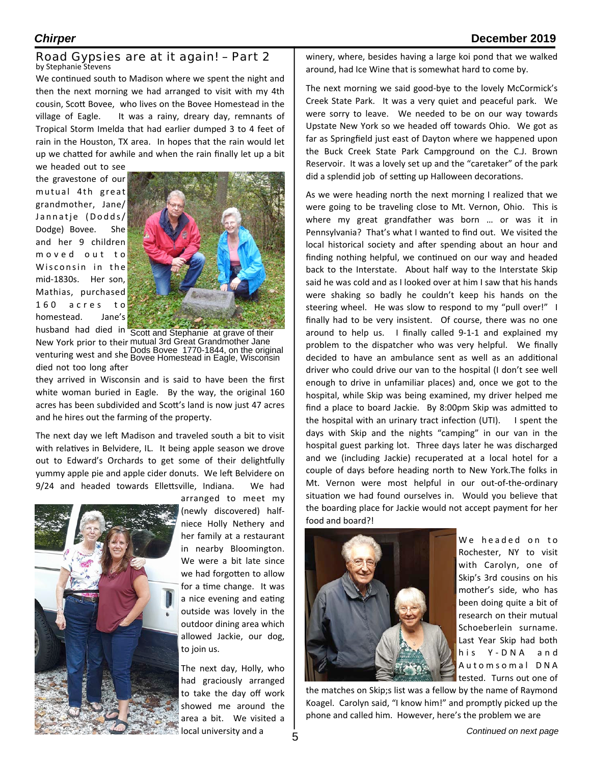### Road Gypsies are at it again! – Part 2 by Stephanie Stevens

We continued south to Madison where we spent the night and then the next morning we had arranged to visit with my 4th cousin, Scott Bovee, who lives on the Bovee Homestead in the village of Eagle. It was a rainy, dreary day, remnants of Tropical Storm Imelda that had earlier dumped 3 to 4 feet of rain in the Houston, TX area. In hopes that the rain would let up we chatted for awhile and when the rain finally let up a bit

we headed out to see the gravestone of our mutual 4th great grandmother, Jane/ Jannatje (Dodds/ Dodge) Bovee. She and her 9 children m o v e d o u t to Wisconsin in the mid-1830s. Her son, Mathias, purchased  $160$  acres to homestead. Jane's husband had died in 



New York prior to their mutual 3rd Great Grandmother Jane venturing west and she Bous Bovee Trive-1644, on the onginal<br>Bovee Homestead in Eagle, Wisconsin died not too long after Scott and Stephanie at grave of their Dods Bovee 1770-1844, on the original

they arrived in Wisconsin and is said to have been the first white woman buried in Eagle. By the way, the original 160 acres has been subdivided and Scott's land is now just 47 acres and he hires out the farming of the property.

The next day we left Madison and traveled south a bit to visit with relatives in Belvidere, IL. It being apple season we drove out to Edward's Orchards to get some of their delightfully yummy apple pie and apple cider donuts. We left Belvidere on 9/24 and headed towards Ellettsville, Indiana. We had



arranged to meet my (newly discovered) halfniece Holly Nethery and her family at a restaurant in nearby Bloomington. We were a bit late since we had forgotten to allow for a time change. It was a nice evening and eating outside was lovely in the outdoor dining area which allowed Jackie, our dog, to join us.

The next day, Holly, who had graciously arranged to take the day off work showed me around the area a bit. We visited a local university and a

winery, where, besides having a large koi pond that we walked around, had Ice Wine that is somewhat hard to come by.

The next morning we said good-bye to the lovely McCormick's Creek State Park. It was a very quiet and peaceful park. We were sorry to leave. We needed to be on our way towards Upstate New York so we headed off towards Ohio. We got as far as Springfield just east of Dayton where we happened upon the Buck Creek State Park Campground on the C.J. Brown Reservoir. It was a lovely set up and the "caretaker" of the park did a splendid job of setting up Halloween decorations.

As we were heading north the next morning I realized that we were going to be traveling close to Mt. Vernon, Ohio. This is where my great grandfather was born ... or was it in Pennsylvania? That's what I wanted to find out. We visited the local historical society and after spending about an hour and finding nothing helpful, we continued on our way and headed back to the Interstate. About half way to the Interstate Skip said he was cold and as I looked over at him I saw that his hands were shaking so badly he couldn't keep his hands on the steering wheel. He was slow to respond to my "pull over!" I finally had to be very insistent. Of course, there was no one around to help us. I finally called  $9-1-1$  and explained my problem to the dispatcher who was very helpful. We finally decided to have an ambulance sent as well as an additional driver who could drive our van to the hospital (I don't see well enough to drive in unfamiliar places) and, once we got to the hospital, while Skip was being examined, my driver helped me find a place to board Jackie. By 8:00pm Skip was admitted to the hospital with an urinary tract infection  $(UTI)$ . I spent the days with Skip and the nights "camping" in our van in the hospital guest parking lot. Three days later he was discharged and we (including Jackie) recuperated at a local hotel for a couple of days before heading north to New York. The folks in Mt. Vernon were most helpful in our out-of-the-ordinary situation we had found ourselves in. Would you believe that the boarding place for Jackie would not accept payment for her food and board?!



We headed on to Rochester, NY to visit with Carolyn, one of Skip's 3rd cousins on his mother's side, who has been doing quite a bit of research on their mutual Schoeberlein surname. Last Year Skip had both his Y-DNA and Automsomal DNA tested. Turns out one of

the matches on Skip;s list was a fellow by the name of Raymond Koagel. Carolyn said, "I know him!" and promptly picked up the phone and called him. However, here's the problem we are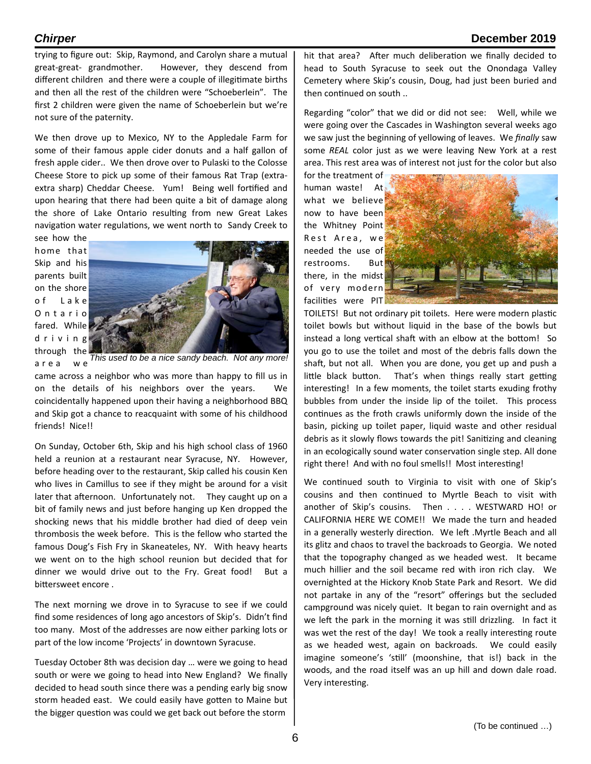# *Chirper* **December 2019**

trying to figure out: Skip, Raymond, and Carolyn share a mutual great-great- grandmother. However, they descend from different children and there were a couple of illegitimate births and then all the rest of the children were "Schoeberlein". The first 2 children were given the name of Schoeberlein but we're not sure of the paternity.

We then drove up to Mexico, NY to the Appledale Farm for some of their famous apple cider donuts and a half gallon of fresh apple cider.. We then drove over to Pulaski to the Colosse Cheese Store to pick up some of their famous Rat Trap (extraextra sharp) Cheddar Cheese. Yum! Being well fortified and upon hearing that there had been quite a bit of damage along the shore of Lake Ontario resulting from new Great Lakes navigation water regulations, we went north to Sandy Creek to

see how the home that Skip and his parents built on the shore o f L a k e O n t a r i o fared. While d r i v i n g through the a r e a w e 



came across a neighbor who was more than happy to fill us in on the details of his neighbors over the years. We coincidentally happened upon their having a neighborhood BBQ and Skip got a chance to reacquaint with some of his childhood friends! Nice!! *This used to be a nice sandy beach. Not any more!*

On Sunday, October 6th, Skip and his high school class of 1960 held a reunion at a restaurant near Syracuse, NY. However, before heading over to the restaurant, Skip called his cousin Ken who lives in Camillus to see if they might be around for a visit later that afternoon. Unfortunately not. They caught up on a bit of family news and just before hanging up Ken dropped the shocking news that his middle brother had died of deep vein thrombosis the week before. This is the fellow who started the famous Doug's Fish Fry in Skaneateles, NY. With heavy hearts we went on to the high school reunion but decided that for dinner we would drive out to the Fry. Great food! But a bittersweet encore.

The next morning we drove in to Syracuse to see if we could find some residences of long ago ancestors of Skip's. Didn't find too many. Most of the addresses are now either parking lots or part of the low income 'Projects' in downtown Syracuse.

Tuesday October 8th was decision day ... were we going to head south or were we going to head into New England? We finally decided to head south since there was a pending early big snow storm headed east. We could easily have gotten to Maine but the bigger question was could we get back out before the storm

hit that area? After much deliberation we finally decided to head to South Syracuse to seek out the Onondaga Valley Cemetery where Skip's cousin, Doug, had just been buried and then continued on south ..

Regarding "color" that we did or did not see: Well, while we were going over the Cascades in Washington several weeks ago we saw just the beginning of yellowing of leaves. We *finally* saw some REAL color just as we were leaving New York at a rest area. This rest area was of interest not just for the color but also

for the treatment of human waste! At what we believe now to have been the Whitney Point Rest Area, we needed the use of restrooms. But there, in the midst of very modern facilities were PIT



TOILETS! But not ordinary pit toilets. Here were modern plastic toilet bowls but without liquid in the base of the bowls but instead a long vertical shaft with an elbow at the bottom! So you go to use the toilet and most of the debris falls down the shaft, but not all. When you are done, you get up and push a little black button. That's when things really start getting interesting! In a few moments, the toilet starts exuding frothy bubbles from under the inside lip of the toilet. This process continues as the froth crawls uniformly down the inside of the basin, picking up toilet paper, liquid waste and other residual debris as it slowly flows towards the pit! Sanitizing and cleaning in an ecologically sound water conservation single step. All done right there! And with no foul smells!! Most interesting!

We continued south to Virginia to visit with one of Skip's cousins and then continued to Myrtle Beach to visit with another of Skip's cousins. Then . . . . WESTWARD HO! or CALIFORNIA HERE WE COME!! We made the turn and headed in a generally westerly direction. We left .Myrtle Beach and all its glitz and chaos to travel the backroads to Georgia. We noted that the topography changed as we headed west. It became much hillier and the soil became red with iron rich clay. We overnighted at the Hickory Knob State Park and Resort. We did not partake in any of the "resort" offerings but the secluded campground was nicely quiet. It began to rain overnight and as we left the park in the morning it was still drizzling. In fact it was wet the rest of the day! We took a really interesting route as we headed west, again on backroads. We could easily imagine someone's 'still' (moonshine, that is!) back in the woods, and the road itself was an up hill and down dale road. Very interesting.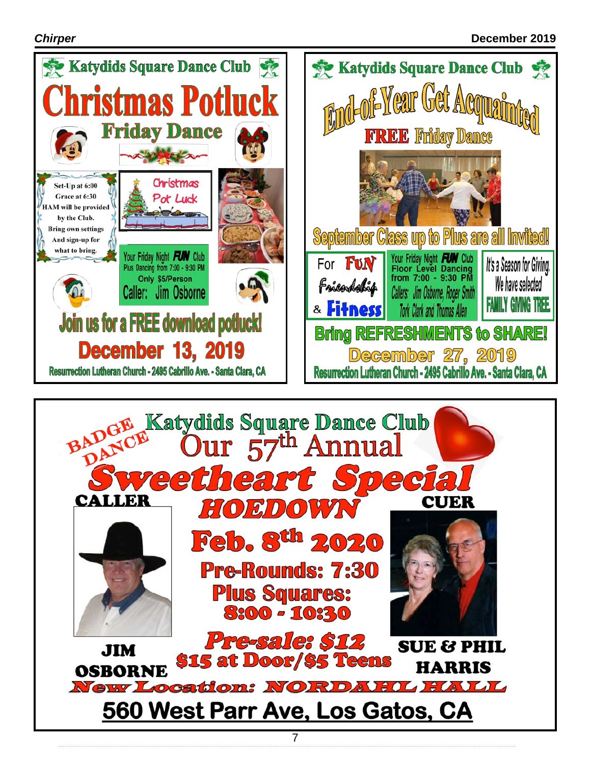